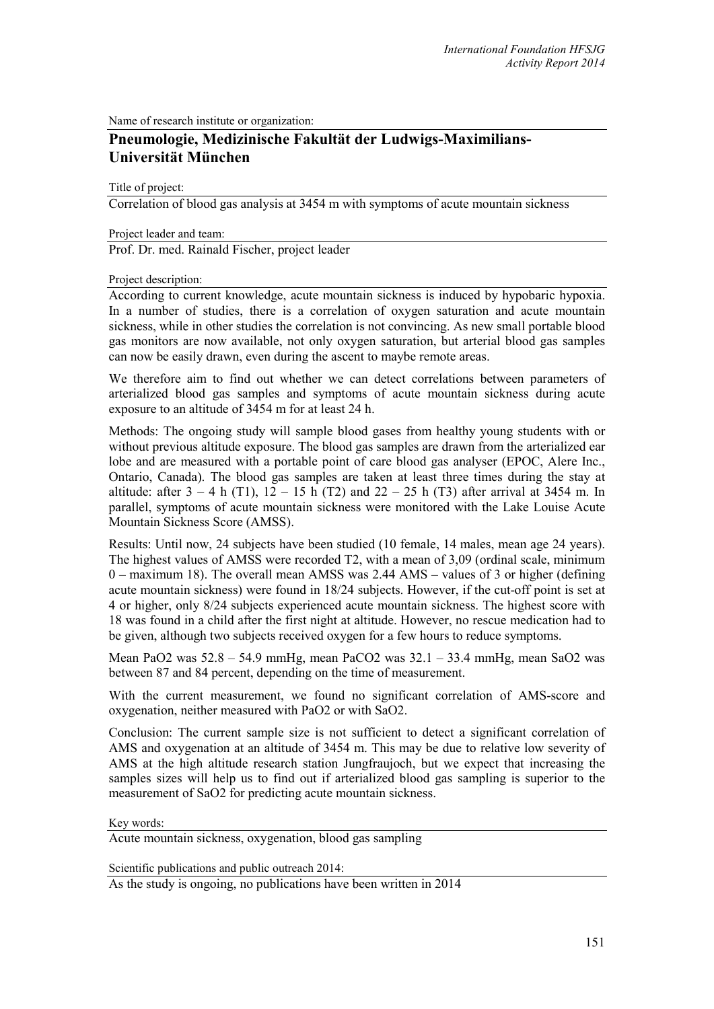Name of research institute or organization:

## **Pneumologie, Medizinische Fakultät der Ludwigs-Maximilians-Universität München**

Title of project:

Correlation of blood gas analysis at 3454 m with symptoms of acute mountain sickness

Project leader and team:

Prof. Dr. med. Rainald Fischer, project leader

## Project description:

According to current knowledge, acute mountain sickness is induced by hypobaric hypoxia. In a number of studies, there is a correlation of oxygen saturation and acute mountain sickness, while in other studies the correlation is not convincing. As new small portable blood gas monitors are now available, not only oxygen saturation, but arterial blood gas samples can now be easily drawn, even during the ascent to maybe remote areas.

We therefore aim to find out whether we can detect correlations between parameters of arterialized blood gas samples and symptoms of acute mountain sickness during acute exposure to an altitude of 3454 m for at least 24 h.

Methods: The ongoing study will sample blood gases from healthy young students with or without previous altitude exposure. The blood gas samples are drawn from the arterialized ear lobe and are measured with a portable point of care blood gas analyser (EPOC, Alere Inc., Ontario, Canada). The blood gas samples are taken at least three times during the stay at altitude: after  $3 - 4$  h (T1),  $12 - 15$  h (T2) and  $22 - 25$  h (T3) after arrival at 3454 m. In parallel, symptoms of acute mountain sickness were monitored with the Lake Louise Acute Mountain Sickness Score (AMSS).

Results: Until now, 24 subjects have been studied (10 female, 14 males, mean age 24 years). The highest values of AMSS were recorded T2, with a mean of 3,09 (ordinal scale, minimum 0 – maximum 18). The overall mean AMSS was 2.44 AMS – values of 3 or higher (defining acute mountain sickness) were found in 18/24 subjects. However, if the cut-off point is set at 4 or higher, only 8/24 subjects experienced acute mountain sickness. The highest score with 18 was found in a child after the first night at altitude. However, no rescue medication had to be given, although two subjects received oxygen for a few hours to reduce symptoms.

Mean PaO2 was  $52.8 - 54.9$  mmHg, mean PaCO2 was  $32.1 - 33.4$  mmHg, mean SaO2 was between 87 and 84 percent, depending on the time of measurement.

With the current measurement, we found no significant correlation of AMS-score and oxygenation, neither measured with PaO2 or with SaO2.

Conclusion: The current sample size is not sufficient to detect a significant correlation of AMS and oxygenation at an altitude of 3454 m. This may be due to relative low severity of AMS at the high altitude research station Jungfraujoch, but we expect that increasing the samples sizes will help us to find out if arterialized blood gas sampling is superior to the measurement of SaO2 for predicting acute mountain sickness.

Key words:

Acute mountain sickness, oxygenation, blood gas sampling

Scientific publications and public outreach 2014:

As the study is ongoing, no publications have been written in 2014